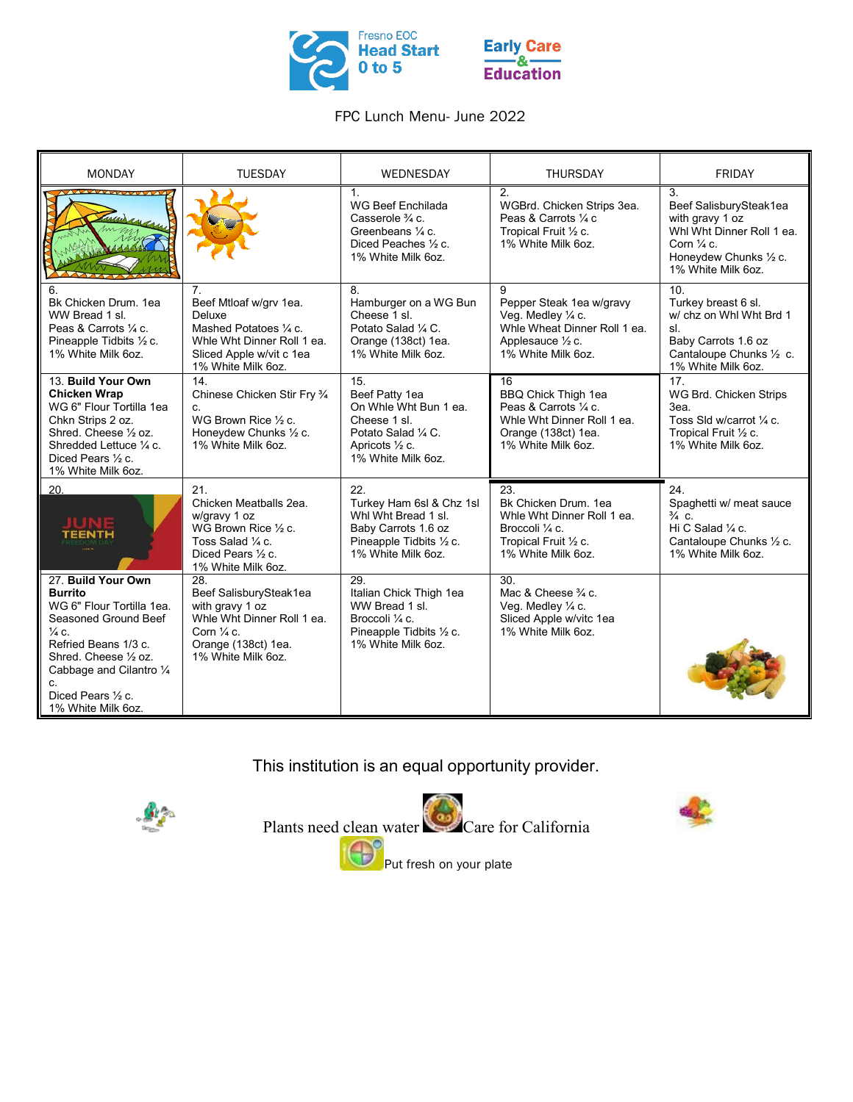

## FPC Lunch Menu- June 2022

| <b>MONDAY</b>                                                                                                                                                                                                                                | <b>TUESDAY</b>                                                                                                                                       | <b>WEDNESDAY</b>                                                                                                                            | <b>THURSDAY</b>                                                                                                                      | <b>FRIDAY</b>                                                                                                                                         |
|----------------------------------------------------------------------------------------------------------------------------------------------------------------------------------------------------------------------------------------------|------------------------------------------------------------------------------------------------------------------------------------------------------|---------------------------------------------------------------------------------------------------------------------------------------------|--------------------------------------------------------------------------------------------------------------------------------------|-------------------------------------------------------------------------------------------------------------------------------------------------------|
|                                                                                                                                                                                                                                              |                                                                                                                                                      | 1.<br>WG Beef Enchilada<br>Casserole $\frac{3}{4}$ c.<br>Greenbeans 1/4 c.<br>Diced Peaches 1/2 c.<br>1% White Milk 6oz.                    | 2.<br>WGBrd. Chicken Strips 3ea.<br>Peas & Carrots 1/4 c<br>Tropical Fruit 1/2 c.<br>1% White Milk 6oz.                              | 3.<br>Beef SalisburySteak1ea<br>with gravy 1 oz<br>Whi Wht Dinner Roll 1 ea.<br>Corn $\frac{1}{4}$ c.<br>Honeydew Chunks 1/2 c.<br>1% White Milk 6oz. |
| 6.<br>Bk Chicken Drum. 1ea<br>WW Bread 1 sl.<br>Peas & Carrots 1/4 c.<br>Pineapple Tidbits 1/2 c.<br>1% White Milk 6oz.                                                                                                                      | 7.<br>Beef Mtloaf w/grv 1ea.<br>Deluxe<br>Mashed Potatoes 1/4 c.<br>Whie Wht Dinner Roll 1 ea.<br>Sliced Apple w/vit c 1ea<br>1% White Milk 6oz.     | 8.<br>Hamburger on a WG Bun<br>Cheese 1 sl.<br>Potato Salad 1/4 C.<br>Orange (138ct) 1ea.<br>1% White Milk 6oz.                             | 9<br>Pepper Steak 1ea w/gravy<br>Veg. Medley 1/4 c.<br>Whie Wheat Dinner Roll 1 ea.<br>Applesauce 1/2 c.<br>1% White Milk 6oz.       | 10.<br>Turkey breast 6 sl.<br>w/ chz on Whl Wht Brd 1<br>sl<br>Baby Carrots 1.6 oz<br>Cantaloupe Chunks 1/2 c.<br>1% White Milk 6oz.                  |
| 13. Build Your Own<br><b>Chicken Wrap</b><br>WG 6" Flour Tortilla 1ea<br>Chkn Strips 2 oz.<br>Shred. Cheese 1/2 oz.<br>Shredded Lettuce 1/4 c.<br>Diced Pears 1/2 c.<br>1% White Milk 6oz.                                                   | 14.<br>Chinese Chicken Stir Fry 3/4<br>C.<br>WG Brown Rice 1/2 c.<br>Honeydew Chunks 1/2 c.<br>1% White Milk 6oz.                                    | 15.<br>Beef Patty 1ea<br>On Whie Wht Bun 1 ea.<br>Cheese 1 sl.<br>Potato Salad 1/4 C.<br>Apricots $\frac{1}{2}$ c.<br>1% White Milk 6oz.    | 16<br><b>BBQ Chick Thigh 1ea</b><br>Peas & Carrots 1/4 c.<br>Whie Wht Dinner Roll 1 ea.<br>Orange (138ct) 1ea.<br>1% White Milk 6oz. | 17.<br>WG Brd. Chicken Strips<br>3ea.<br>Toss Sld w/carrot 1/4 c.<br>Tropical Fruit 1/2 c.<br>1% White Milk 6oz.                                      |
| 20.<br>TEENTH                                                                                                                                                                                                                                | 21.<br>Chicken Meatballs 2ea.<br>w/gravy 1 oz<br>WG Brown Rice 1/2 c.<br>Toss Salad 1/4 c.<br>Diced Pears 1/2 c.<br>1% White Milk 6oz.               | 22.<br>Turkey Ham 6sl & Chz 1sl<br>Whi Wht Bread 1 sl.<br>Baby Carrots 1.6 oz<br>Pineapple Tidbits 1/2 c.<br>1% White Milk 6oz.             | 23.<br>Bk Chicken Drum. 1ea<br>Whie Wht Dinner Roll 1 ea.<br>Broccoli ¼ c.<br>Tropical Fruit 1/2 c.<br>1% White Milk 6oz.            | 24.<br>Spaghetti w/ meat sauce<br>$\frac{3}{4}$ C.<br>Hi C Salad 1/4 c.<br>Cantaloupe Chunks 1/2 c.<br>1% White Milk 6oz.                             |
| 27. Build Your Own<br><b>Burrito</b><br>WG 6" Flour Tortilla 1ea.<br>Seasoned Ground Beef<br>$\frac{1}{4}$ C.<br>Refried Beans 1/3 c.<br>Shred. Cheese 1/2 oz.<br>Cabbage and Cilantro 1/4<br>c.<br>Diced Pears 1/2 c.<br>1% White Milk 6oz. | 28.<br>Beef SalisburySteak1ea<br>with gravy 1 oz<br>Whie Wht Dinner Roll 1 ea.<br>Corn $\frac{1}{4}$ c.<br>Orange (138ct) 1ea.<br>1% White Milk 6oz. | $\overline{29}$<br>Italian Chick Thigh 1ea<br>WW Bread 1 sl.<br>Broccoli $\frac{1}{4}$ c.<br>Pineapple Tidbits 1/2 c.<br>1% White Milk 6oz. | 30.<br>Mac & Cheese 3/4 c.<br>Veg. Medley 1/4 c.<br>Sliced Apple w/vitc 1ea<br>1% White Milk 6oz.                                    |                                                                                                                                                       |

This institution is an equal opportunity provider.



Plants need clean water Care for California Put fresh on your plate